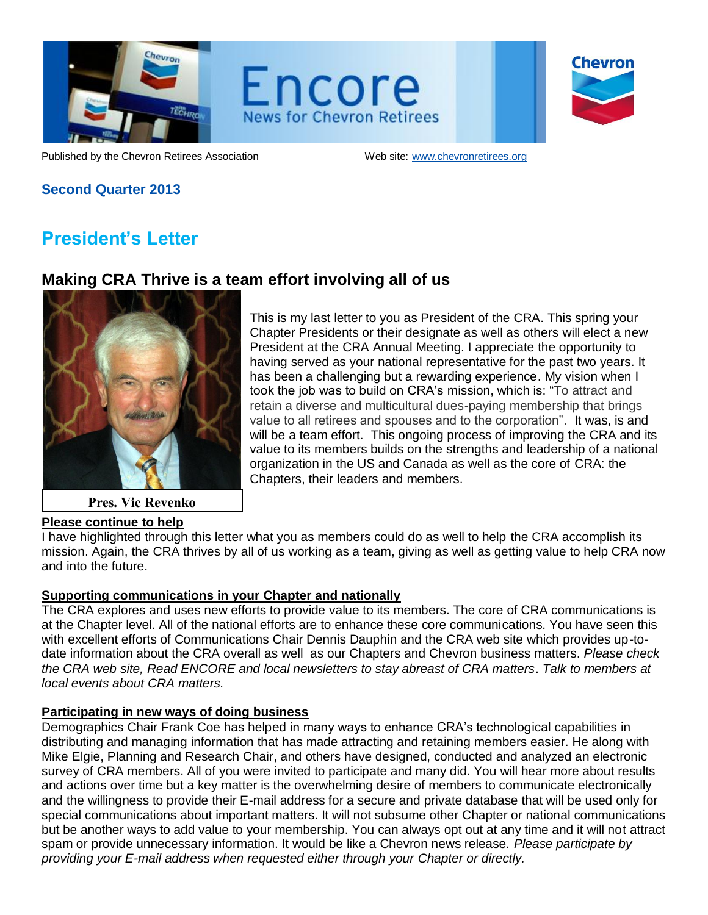

Encore **News for Chevron Retirees** 

Chevron

Published by the Chevron Retirees Association Web site: www.chevronretirees.org

## **Second Quarter 2013**

# **President's Letter**

# **Making CRA Thrive is a team effort involving all of us**



**Pres. Vic Revenko**

## **Please continue to help**

This is my last letter to you as President of the CRA. This spring your Chapter Presidents or their designate as well as others will elect a new President at the CRA Annual Meeting. I appreciate the opportunity to having served as your national representative for the past two years. It has been a challenging but a rewarding experience. My vision when I took the job was to build on CRA's mission, which is: "To attract and retain a diverse and multicultural dues-paying membership that brings value to all retirees and spouses and to the corporation". It was, is and will be a team effort. This ongoing process of improving the CRA and its value to its members builds on the strengths and leadership of a national organization in the US and Canada as well as the core of CRA: the Chapters, their leaders and members.

I have highlighted through this letter what you as members could do as well to help the CRA accomplish its mission. Again, the CRA thrives by all of us working as a team, giving as well as getting value to help CRA now and into the future.

## **Supporting communications in your Chapter and nationally**

The CRA explores and uses new efforts to provide value to its members. The core of CRA communications is at the Chapter level. All of the national efforts are to enhance these core communications. You have seen this with excellent efforts of Communications Chair Dennis Dauphin and the CRA web site which provides up-todate information about the CRA overall as well as our Chapters and Chevron business matters. *Please check the CRA web site, Read ENCORE and local newsletters to stay abreast of CRA matters*. *Talk to members at local events about CRA matters.* 

## **Participating in new ways of doing business**

Demographics Chair Frank Coe has helped in many ways to enhance CRA's technological capabilities in distributing and managing information that has made attracting and retaining members easier. He along with Mike Elgie, Planning and Research Chair, and others have designed, conducted and analyzed an electronic survey of CRA members. All of you were invited to participate and many did. You will hear more about results and actions over time but a key matter is the overwhelming desire of members to communicate electronically and the willingness to provide their E-mail address for a secure and private database that will be used only for special communications about important matters. It will not subsume other Chapter or national communications but be another ways to add value to your membership. You can always opt out at any time and it will not attract spam or provide unnecessary information. It would be like a Chevron news release. *Please participate by providing your E-mail address when requested either through your Chapter or directly.*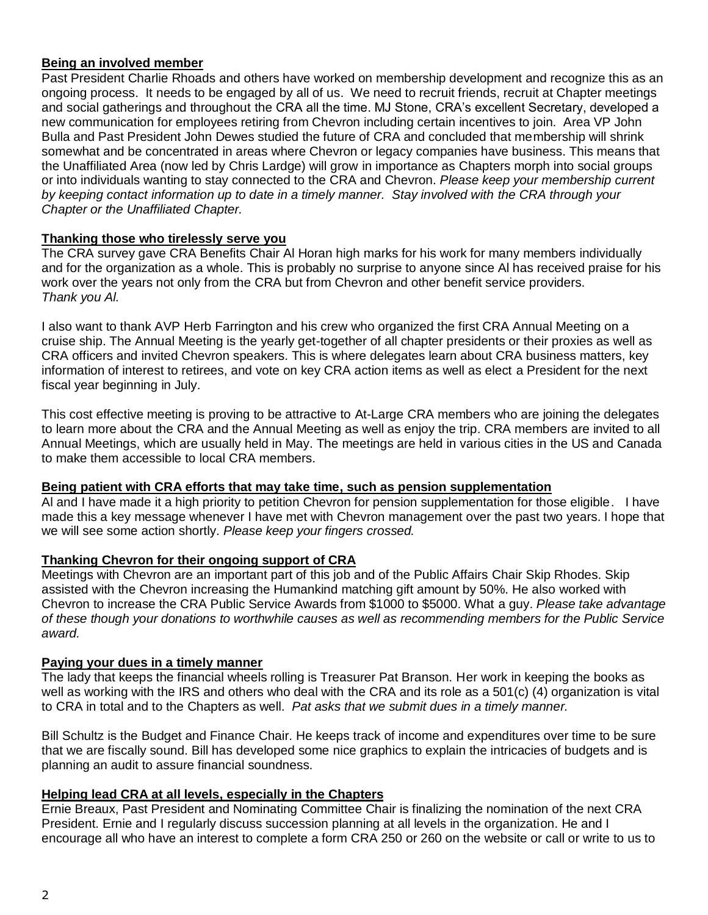### **Being an involved member**

Past President Charlie Rhoads and others have worked on membership development and recognize this as an ongoing process. It needs to be engaged by all of us. We need to recruit friends, recruit at Chapter meetings and social gatherings and throughout the CRA all the time. MJ Stone, CRA's excellent Secretary, developed a new communication for employees retiring from Chevron including certain incentives to join. Area VP John Bulla and Past President John Dewes studied the future of CRA and concluded that membership will shrink somewhat and be concentrated in areas where Chevron or legacy companies have business. This means that the Unaffiliated Area (now led by Chris Lardge) will grow in importance as Chapters morph into social groups or into individuals wanting to stay connected to the CRA and Chevron. *Please keep your membership current by keeping contact information up to date in a timely manner. Stay involved with the CRA through your Chapter or the Unaffiliated Chapter.* 

### **Thanking those who tirelessly serve you**

The CRA survey gave CRA Benefits Chair Al Horan high marks for his work for many members individually and for the organization as a whole. This is probably no surprise to anyone since Al has received praise for his work over the years not only from the CRA but from Chevron and other benefit service providers. *Thank you Al.*

I also want to thank AVP Herb Farrington and his crew who organized the first CRA Annual Meeting on a cruise ship. The Annual Meeting is the yearly get-together of all chapter presidents or their proxies as well as CRA officers and invited Chevron speakers. This is where delegates learn about CRA business matters, key information of interest to retirees, and vote on key CRA action items as well as elect a President for the next fiscal year beginning in July.

This cost effective meeting is proving to be attractive to At-Large CRA members who are joining the delegates to learn more about the CRA and the Annual Meeting as well as enjoy the trip. CRA members are invited to all Annual Meetings, which are usually held in May. The meetings are held in various cities in the US and Canada to make them accessible to local CRA members.

#### **Being patient with CRA efforts that may take time, such as pension supplementation**

Al and I have made it a high priority to petition Chevron for pension supplementation for those eligible. I have made this a key message whenever I have met with Chevron management over the past two years. I hope that we will see some action shortly. *Please keep your fingers crossed.*

#### **Thanking Chevron for their ongoing support of CRA**

Meetings with Chevron are an important part of this job and of the Public Affairs Chair Skip Rhodes. Skip assisted with the Chevron increasing the Humankind matching gift amount by 50%. He also worked with Chevron to increase the CRA Public Service Awards from \$1000 to \$5000. What a guy. *Please take advantage of these though your donations to worthwhile causes as well as recommending members for the Public Service award.*

#### **Paying your dues in a timely manner**

The lady that keeps the financial wheels rolling is Treasurer Pat Branson. Her work in keeping the books as well as working with the IRS and others who deal with the CRA and its role as a 501(c) (4) organization is vital to CRA in total and to the Chapters as well. *Pat asks that we submit dues in a timely manner.*

Bill Schultz is the Budget and Finance Chair. He keeps track of income and expenditures over time to be sure that we are fiscally sound. Bill has developed some nice graphics to explain the intricacies of budgets and is planning an audit to assure financial soundness.

### **Helping lead CRA at all levels, especially in the Chapters**

Ernie Breaux, Past President and Nominating Committee Chair is finalizing the nomination of the next CRA President. Ernie and I regularly discuss succession planning at all levels in the organization. He and I encourage all who have an interest to complete a form CRA 250 or 260 on the website or call or write to us to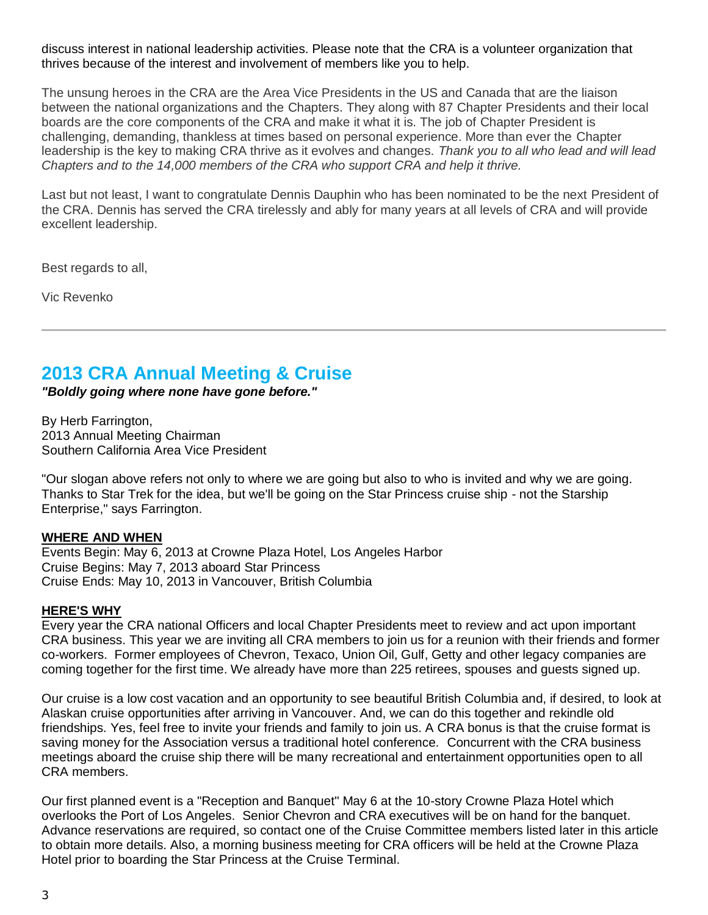discuss interest in national leadership activities. Please note that the CRA is a volunteer organization that thrives because of the interest and involvement of members like you to help.

The unsung heroes in the CRA are the Area Vice Presidents in the US and Canada that are the liaison between the national organizations and the Chapters. They along with 87 Chapter Presidents and their local boards are the core components of the CRA and make it what it is. The job of Chapter President is challenging, demanding, thankless at times based on personal experience. More than ever the Chapter leadership is the key to making CRA thrive as it evolves and changes. *Thank you to all who lead and will lead Chapters and to the 14,000 members of the CRA who support CRA and help it thrive.*

Last but not least, I want to congratulate Dennis Dauphin who has been nominated to be the next President of the CRA. Dennis has served the CRA tirelessly and ably for many years at all levels of CRA and will provide excellent leadership.

Best regards to all,

Vic Revenko

# **2013 CRA Annual Meeting & Cruise**

*"Boldly going where none have gone before."*

By Herb Farrington, 2013 Annual Meeting Chairman Southern California Area Vice President

"Our slogan above refers not only to where we are going but also to who is invited and why we are going. Thanks to Star Trek for the idea, but we'll be going on the Star Princess cruise ship - not the Starship Enterprise," says Farrington.

### **WHERE AND WHEN**

Events Begin: May 6, 2013 at Crowne Plaza Hotel, Los Angeles Harbor Cruise Begins: May 7, 2013 aboard Star Princess Cruise Ends: May 10, 2013 in Vancouver, British Columbia

### **HERE'S WHY**

Every year the CRA national Officers and local Chapter Presidents meet to review and act upon important CRA business. This year we are inviting all CRA members to join us for a reunion with their friends and former co-workers. Former employees of Chevron, Texaco, Union Oil, Gulf, Getty and other legacy companies are coming together for the first time. We already have more than 225 retirees, spouses and guests signed up.

Our cruise is a low cost vacation and an opportunity to see beautiful British Columbia and, if desired, to look at Alaskan cruise opportunities after arriving in Vancouver. And, we can do this together and rekindle old friendships. Yes, feel free to invite your friends and family to join us. A CRA bonus is that the cruise format is saving money for the Association versus a traditional hotel conference. Concurrent with the CRA business meetings aboard the cruise ship there will be many recreational and entertainment opportunities open to all CRA members.

Our first planned event is a "Reception and Banquet" May 6 at the 10-story Crowne Plaza Hotel which overlooks the Port of Los Angeles. Senior Chevron and CRA executives will be on hand for the banquet. Advance reservations are required, so contact one of the Cruise Committee members listed later in this article to obtain more details. Also, a morning business meeting for CRA officers will be held at the Crowne Plaza Hotel prior to boarding the Star Princess at the Cruise Terminal.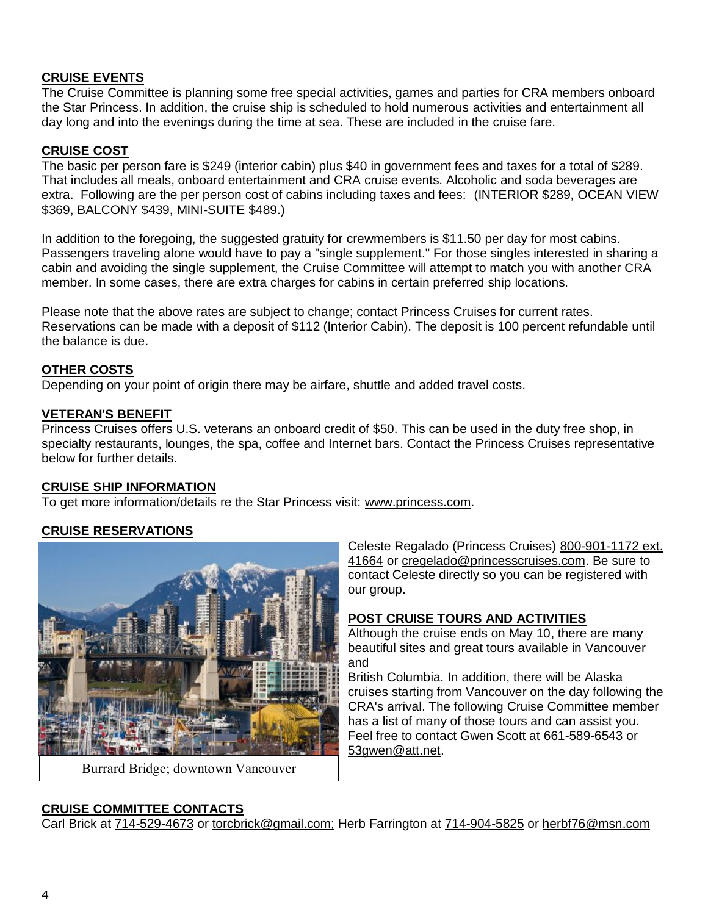### **CRUISE EVENTS**

The Cruise Committee is planning some free special activities, games and parties for CRA members onboard the Star Princess. In addition, the cruise ship is scheduled to hold numerous activities and entertainment all day long and into the evenings during the time at sea. These are included in the cruise fare.

### **CRUISE COST**

The basic per person fare is \$249 (interior cabin) plus \$40 in government fees and taxes for a total of \$289. That includes all meals, onboard entertainment and CRA cruise events. Alcoholic and soda beverages are extra. Following are the per person cost of cabins including taxes and fees: (INTERIOR \$289, OCEAN VIEW \$369, BALCONY \$439, MINI-SUITE \$489.)

In addition to the foregoing, the suggested gratuity for crewmembers is \$11.50 per day for most cabins. Passengers traveling alone would have to pay a "single supplement." For those singles interested in sharing a cabin and avoiding the single supplement, the Cruise Committee will attempt to match you with another CRA member. In some cases, there are extra charges for cabins in certain preferred ship locations.

Please note that the above rates are subject to change; contact Princess Cruises for current rates. Reservations can be made with a deposit of \$112 (Interior Cabin). The deposit is 100 percent refundable until the balance is due.

### **OTHER COSTS**

Depending on your point of origin there may be airfare, shuttle and added travel costs.

### **VETERAN'S BENEFIT**

Princess Cruises offers U.S. veterans an onboard credit of \$50. This can be used in the duty free shop, in specialty restaurants, lounges, the spa, coffee and Internet bars. Contact the Princess Cruises representative below for further details.

### **CRUISE SHIP INFORMATION**

To get more information/details re the Star Princess visit: [www.princess.com.](http://www.princess.com/)

## **CRUISE RESERVATIONS**



Burrard Bridge; downtown Vancouver

Celeste Regalado (Princess Cruises) [800-901-1172 ext.](tel:800-901-1172%20ext.%2041664)  [41664](tel:800-901-1172%20ext.%2041664) or [cregelado@princesscruises.com.](mailto:cregelado@princesscruises.com) Be sure to contact Celeste directly so you can be registered with our group.

### **POST CRUISE TOURS AND ACTIVITIES**

Although the cruise ends on May 10, there are many beautiful sites and great tours available in Vancouver and

British Columbia. In addition, there will be Alaska cruises starting from Vancouver on the day following the CRA's arrival. The following Cruise Committee member has a list of many of those tours and can assist you. Feel free to contact Gwen Scott at [661-589-6543](tel:661-589-6543) or [53gwen@att.net.](mailto:53gwen@att.net)

### **CRUISE COMMITTEE CONTACTS**

Carl Brick at [714-529-4673](tel:714-529-4673) or [torcbrick@gmail.com;](mailto:torcbrick@gmail.com) Herb Farrington at [714-904-5825](tel:714-904-5825) or [herbf76@msn.com](mailto:herbf76@msn.com)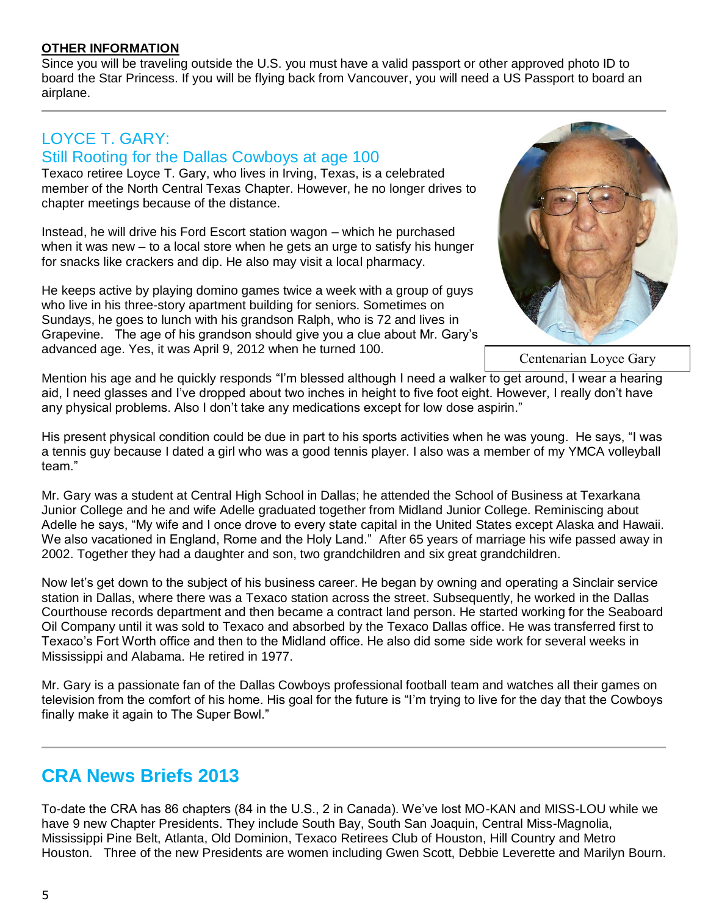### **OTHER INFORMATION**

Since you will be traveling outside the U.S. you must have a valid passport or other approved photo ID to board the Star Princess. If you will be flying back from Vancouver, you will need a US Passport to board an airplane.

# LOYCE T. GARY:

## Still Rooting for the Dallas Cowboys at age 100

Texaco retiree Loyce T. Gary, who lives in Irving, Texas, is a celebrated member of the North Central Texas Chapter. However, he no longer drives to chapter meetings because of the distance.

Instead, he will drive his Ford Escort station wagon – which he purchased when it was new – to a local store when he gets an urge to satisfy his hunger for snacks like crackers and dip. He also may visit a local pharmacy.

He keeps active by playing domino games twice a week with a group of guys who live in his three-story apartment building for seniors. Sometimes on Sundays, he goes to lunch with his grandson Ralph, who is 72 and lives in Grapevine. The age of his grandson should give you a clue about Mr. Gary's advanced age. Yes, it was April 9, 2012 when he turned 100.



Centenarian Loyce Gary

Mention his age and he quickly responds "I'm blessed although I need a walker to get around, I wear a hearing aid, I need glasses and I've dropped about two inches in height to five foot eight. However, I really don't have any physical problems. Also I don't take any medications except for low dose aspirin."

His present physical condition could be due in part to his sports activities when he was young. He says, "I was a tennis guy because I dated a girl who was a good tennis player. I also was a member of my YMCA volleyball team."

Mr. Gary was a student at Central High School in Dallas; he attended the School of Business at Texarkana Junior College and he and wife Adelle graduated together from Midland Junior College. Reminiscing about Adelle he says, "My wife and I once drove to every state capital in the United States except Alaska and Hawaii. We also vacationed in England, Rome and the Holy Land." After 65 years of marriage his wife passed away in 2002. Together they had a daughter and son, two grandchildren and six great grandchildren.

Now let's get down to the subject of his business career. He began by owning and operating a Sinclair service station in Dallas, where there was a Texaco station across the street. Subsequently, he worked in the Dallas Courthouse records department and then became a contract land person. He started working for the Seaboard Oil Company until it was sold to Texaco and absorbed by the Texaco Dallas office. He was transferred first to Texaco's Fort Worth office and then to the Midland office. He also did some side work for several weeks in Mississippi and Alabama. He retired in 1977.

Mr. Gary is a passionate fan of the Dallas Cowboys professional football team and watches all their games on television from the comfort of his home. His goal for the future is "I'm trying to live for the day that the Cowboys finally make it again to The Super Bowl."

# **CRA News Briefs 2013**

To-date the CRA has 86 chapters (84 in the U.S., 2 in Canada). We've lost MO-KAN and MISS-LOU while we have 9 new Chapter Presidents. They include South Bay, South San Joaquin, Central Miss-Magnolia, Mississippi Pine Belt, Atlanta, Old Dominion, Texaco Retirees Club of Houston, Hill Country and Metro Houston. Three of the new Presidents are women including Gwen Scott, Debbie Leverette and Marilyn Bourn.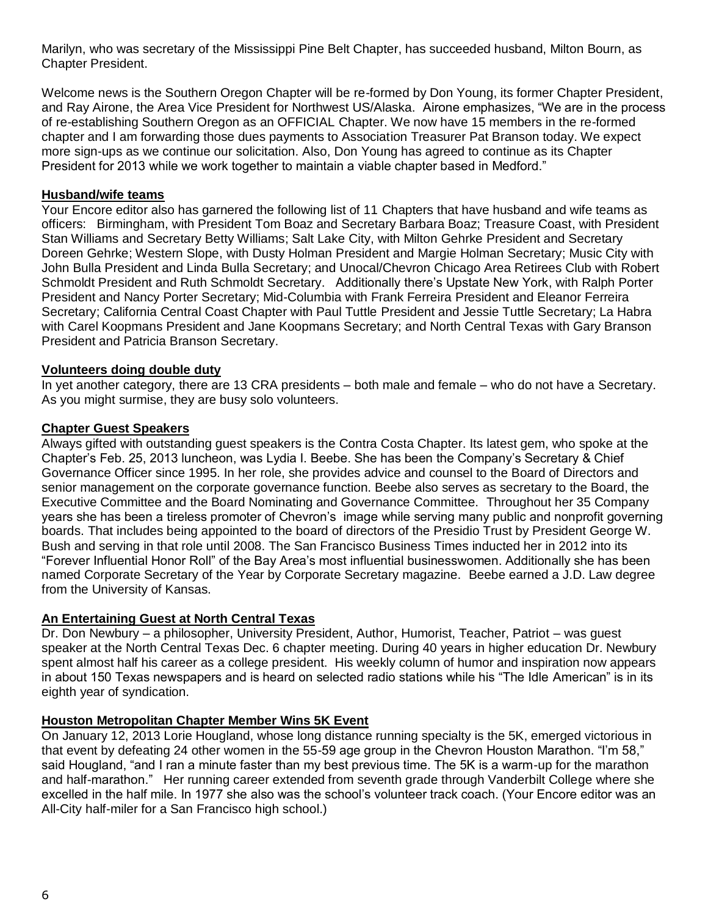Marilyn, who was secretary of the Mississippi Pine Belt Chapter, has succeeded husband, Milton Bourn, as Chapter President.

Welcome news is the Southern Oregon Chapter will be re-formed by Don Young, its former Chapter President, and Ray Airone, the Area Vice President for Northwest US/Alaska. Airone emphasizes, "We are in the process of re-establishing Southern Oregon as an OFFICIAL Chapter. We now have 15 members in the re-formed chapter and I am forwarding those dues payments to Association Treasurer Pat Branson today. We expect more sign-ups as we continue our solicitation. Also, Don Young has agreed to continue as its Chapter President for 2013 while we work together to maintain a viable chapter based in Medford."

### **Husband/wife teams**

Your Encore editor also has garnered the following list of 11 Chapters that have husband and wife teams as officers: Birmingham, with President Tom Boaz and Secretary Barbara Boaz; Treasure Coast, with President Stan Williams and Secretary Betty Williams; Salt Lake City, with Milton Gehrke President and Secretary Doreen Gehrke; Western Slope, with Dusty Holman President and Margie Holman Secretary; Music City with John Bulla President and Linda Bulla Secretary; and Unocal/Chevron Chicago Area Retirees Club with Robert Schmoldt President and Ruth Schmoldt Secretary. Additionally there's Upstate New York, with Ralph Porter President and Nancy Porter Secretary; Mid-Columbia with Frank Ferreira President and Eleanor Ferreira Secretary; California Central Coast Chapter with Paul Tuttle President and Jessie Tuttle Secretary; La Habra with Carel Koopmans President and Jane Koopmans Secretary; and North Central Texas with Gary Branson President and Patricia Branson Secretary.

### **Volunteers doing double duty**

In yet another category, there are 13 CRA presidents – both male and female – who do not have a Secretary. As you might surmise, they are busy solo volunteers.

### **Chapter Guest Speakers**

Always gifted with outstanding guest speakers is the Contra Costa Chapter. Its latest gem, who spoke at the Chapter's Feb. 25, 2013 luncheon, was Lydia I. Beebe. She has been the Company's Secretary & Chief Governance Officer since 1995. In her role, she provides advice and counsel to the Board of Directors and senior management on the corporate governance function. Beebe also serves as secretary to the Board, the Executive Committee and the Board Nominating and Governance Committee. Throughout her 35 Company years she has been a tireless promoter of Chevron's image while serving many public and nonprofit governing boards. That includes being appointed to the board of directors of the Presidio Trust by President George W. Bush and serving in that role until 2008. The San Francisco Business Times inducted her in 2012 into its "Forever Influential Honor Roll" of the Bay Area's most influential businesswomen. Additionally she has been named Corporate Secretary of the Year by Corporate Secretary magazine. Beebe earned a J.D. Law degree from the University of Kansas.

## **An Entertaining Guest at North Central Texas**

Dr. Don Newbury – a philosopher, University President, Author, Humorist, Teacher, Patriot – was guest speaker at the North Central Texas Dec. 6 chapter meeting. During 40 years in higher education Dr. Newbury spent almost half his career as a college president. His weekly column of humor and inspiration now appears in about 150 Texas newspapers and is heard on selected radio stations while his "The Idle American" is in its eighth year of syndication.

## **Houston Metropolitan Chapter Member Wins 5K Event**

On January 12, 2013 Lorie Hougland, whose long distance running specialty is the 5K, emerged victorious in that event by defeating 24 other women in the 55-59 age group in the Chevron Houston Marathon. "I'm 58," said Hougland, "and I ran a minute faster than my best previous time. The 5K is a warm-up for the marathon and half-marathon." Her running career extended from seventh grade through Vanderbilt College where she excelled in the half mile. In 1977 she also was the school's volunteer track coach. (Your Encore editor was an All-City half-miler for a San Francisco high school.)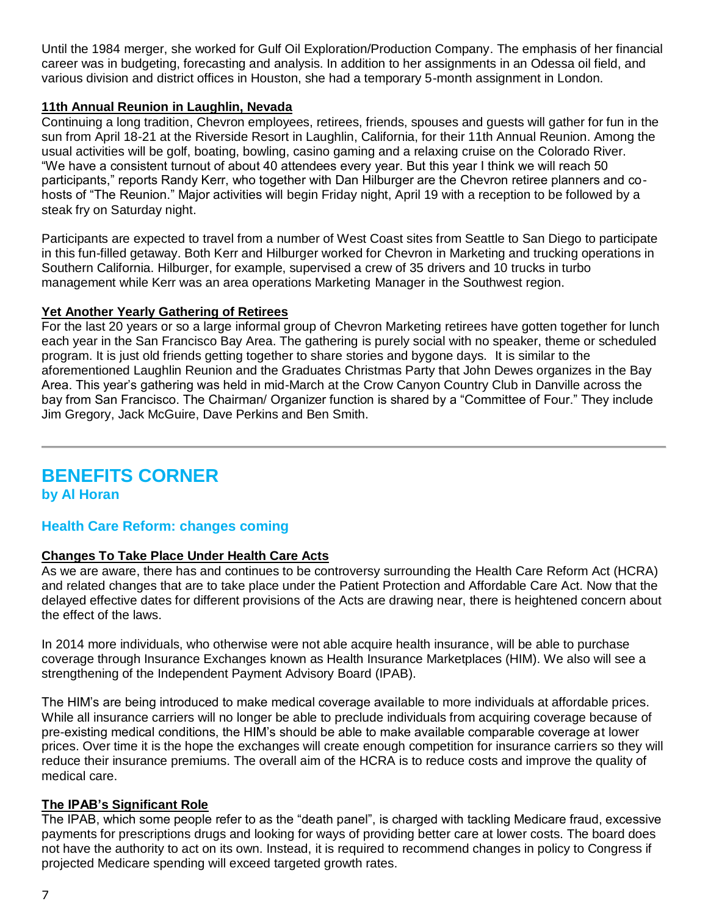Until the 1984 merger, she worked for Gulf Oil Exploration/Production Company. The emphasis of her financial career was in budgeting, forecasting and analysis. In addition to her assignments in an Odessa oil field, and various division and district offices in Houston, she had a temporary 5-month assignment in London.

### **11th Annual Reunion in Laughlin, Nevada**

Continuing a long tradition, Chevron employees, retirees, friends, spouses and guests will gather for fun in the sun from April 18-21 at the Riverside Resort in Laughlin, California, for their 11th Annual Reunion. Among the usual activities will be golf, boating, bowling, casino gaming and a relaxing cruise on the Colorado River. "We have a consistent turnout of about 40 attendees every year. But this year I think we will reach 50 participants," reports Randy Kerr, who together with Dan Hilburger are the Chevron retiree planners and cohosts of "The Reunion." Major activities will begin Friday night, April 19 with a reception to be followed by a steak fry on Saturday night.

Participants are expected to travel from a number of West Coast sites from Seattle to San Diego to participate in this fun-filled getaway. Both Kerr and Hilburger worked for Chevron in Marketing and trucking operations in Southern California. Hilburger, for example, supervised a crew of 35 drivers and 10 trucks in turbo management while Kerr was an area operations Marketing Manager in the Southwest region.

### **Yet Another Yearly Gathering of Retirees**

For the last 20 years or so a large informal group of Chevron Marketing retirees have gotten together for lunch each year in the San Francisco Bay Area. The gathering is purely social with no speaker, theme or scheduled program. It is just old friends getting together to share stories and bygone days. It is similar to the aforementioned Laughlin Reunion and the Graduates Christmas Party that John Dewes organizes in the Bay Area. This year's gathering was held in mid-March at the Crow Canyon Country Club in Danville across the bay from San Francisco. The Chairman/ Organizer function is shared by a "Committee of Four." They include Jim Gregory, Jack McGuire, Dave Perkins and Ben Smith.

# **BENEFITS CORNER**

**by Al Horan**

## **Health Care Reform: changes coming**

## **Changes To Take Place Under Health Care Acts**

As we are aware, there has and continues to be controversy surrounding the Health Care Reform Act (HCRA) and related changes that are to take place under the Patient Protection and Affordable Care Act. Now that the delayed effective dates for different provisions of the Acts are drawing near, there is heightened concern about the effect of the laws.

In 2014 more individuals, who otherwise were not able acquire health insurance, will be able to purchase coverage through Insurance Exchanges known as Health Insurance Marketplaces (HIM). We also will see a strengthening of the Independent Payment Advisory Board (IPAB).

The HIM's are being introduced to make medical coverage available to more individuals at affordable prices. While all insurance carriers will no longer be able to preclude individuals from acquiring coverage because of pre-existing medical conditions, the HIM's should be able to make available comparable coverage at lower prices. Over time it is the hope the exchanges will create enough competition for insurance carriers so they will reduce their insurance premiums. The overall aim of the HCRA is to reduce costs and improve the quality of medical care.

## **The IPAB's Significant Role**

The IPAB, which some people refer to as the "death panel", is charged with tackling Medicare fraud, excessive payments for prescriptions drugs and looking for ways of providing better care at lower costs. The board does not have the authority to act on its own. Instead, it is required to recommend changes in policy to Congress if projected Medicare spending will exceed targeted growth rates.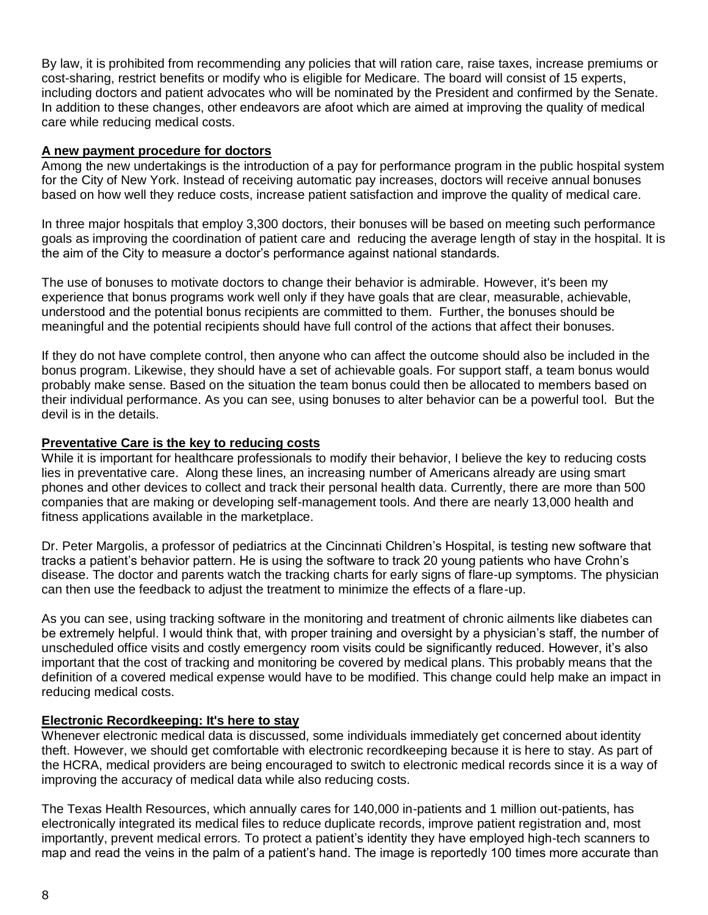By law, it is prohibited from recommending any policies that will ration care, raise taxes, increase premiums or cost-sharing, restrict benefits or modify who is eligible for Medicare. The board will consist of 15 experts, including doctors and patient advocates who will be nominated by the President and confirmed by the Senate. In addition to these changes, other endeavors are afoot which are aimed at improving the quality of medical care while reducing medical costs.

### **A new payment procedure for doctors**

Among the new undertakings is the introduction of a pay for performance program in the public hospital system for the City of New York. Instead of receiving automatic pay increases, doctors will receive annual bonuses based on how well they reduce costs, increase patient satisfaction and improve the quality of medical care.

In three major hospitals that employ 3,300 doctors, their bonuses will be based on meeting such performance goals as improving the coordination of patient care and reducing the average length of stay in the hospital. It is the aim of the City to measure a doctor's performance against national standards.

The use of bonuses to motivate doctors to change their behavior is admirable. However, it's been my experience that bonus programs work well only if they have goals that are clear, measurable, achievable, understood and the potential bonus recipients are committed to them. Further, the bonuses should be meaningful and the potential recipients should have full control of the actions that affect their bonuses.

If they do not have complete control, then anyone who can affect the outcome should also be included in the bonus program. Likewise, they should have a set of achievable goals. For support staff, a team bonus would probably make sense. Based on the situation the team bonus could then be allocated to members based on their individual performance. As you can see, using bonuses to alter behavior can be a powerful tool. But the devil is in the details.

### **Preventative Care is the key to reducing costs**

While it is important for healthcare professionals to modify their behavior, I believe the key to reducing costs lies in preventative care. Along these lines, an increasing number of Americans already are using smart phones and other devices to collect and track their personal health data. Currently, there are more than 500 companies that are making or developing self-management tools. And there are nearly 13,000 health and fitness applications available in the marketplace.

Dr. Peter Margolis, a professor of pediatrics at the Cincinnati Children's Hospital, is testing new software that tracks a patient's behavior pattern. He is using the software to track 20 young patients who have Crohn's disease. The doctor and parents watch the tracking charts for early signs of flare-up symptoms. The physician can then use the feedback to adjust the treatment to minimize the effects of a flare-up.

As you can see, using tracking software in the monitoring and treatment of chronic ailments like diabetes can be extremely helpful. I would think that, with proper training and oversight by a physician's staff, the number of unscheduled office visits and costly emergency room visits could be significantly reduced. However, it's also important that the cost of tracking and monitoring be covered by medical plans. This probably means that the definition of a covered medical expense would have to be modified. This change could help make an impact in reducing medical costs.

### **Electronic Recordkeeping: It's here to stay**

Whenever electronic medical data is discussed, some individuals immediately get concerned about identity theft. However, we should get comfortable with electronic recordkeeping because it is here to stay. As part of the HCRA, medical providers are being encouraged to switch to electronic medical records since it is a way of improving the accuracy of medical data while also reducing costs.

The Texas Health Resources, which annually cares for 140,000 in-patients and 1 million out-patients, has electronically integrated its medical files to reduce duplicate records, improve patient registration and, most importantly, prevent medical errors. To protect a patient's identity they have employed high-tech scanners to map and read the veins in the palm of a patient's hand. The image is reportedly 100 times more accurate than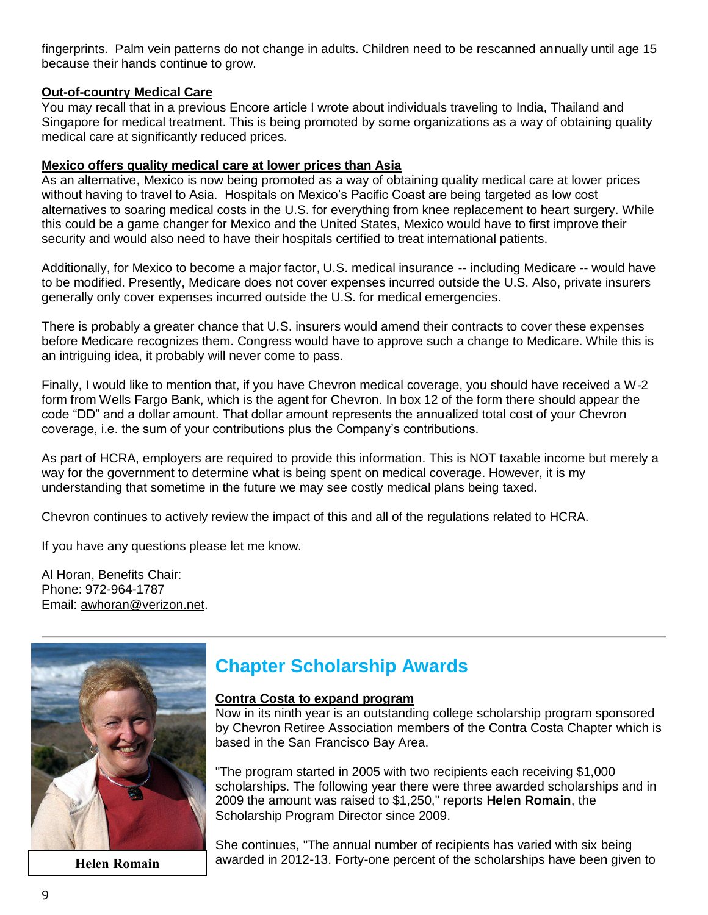fingerprints. Palm vein patterns do not change in adults. Children need to be rescanned annually until age 15 because their hands continue to grow.

### **Out-of-country Medical Care**

You may recall that in a previous Encore article I wrote about individuals traveling to India, Thailand and Singapore for medical treatment. This is being promoted by some organizations as a way of obtaining quality medical care at significantly reduced prices.

### **Mexico offers quality medical care at lower prices than Asia**

As an alternative, Mexico is now being promoted as a way of obtaining quality medical care at lower prices without having to travel to Asia. Hospitals on Mexico's Pacific Coast are being targeted as low cost alternatives to soaring medical costs in the U.S. for everything from knee replacement to heart surgery. While this could be a game changer for Mexico and the United States, Mexico would have to first improve their security and would also need to have their hospitals certified to treat international patients.

Additionally, for Mexico to become a major factor, U.S. medical insurance -- including Medicare -- would have to be modified. Presently, Medicare does not cover expenses incurred outside the U.S. Also, private insurers generally only cover expenses incurred outside the U.S. for medical emergencies.

There is probably a greater chance that U.S. insurers would amend their contracts to cover these expenses before Medicare recognizes them. Congress would have to approve such a change to Medicare. While this is an intriguing idea, it probably will never come to pass.

Finally, I would like to mention that, if you have Chevron medical coverage, you should have received a W-2 form from Wells Fargo Bank, which is the agent for Chevron. In box 12 of the form there should appear the code "DD" and a dollar amount. That dollar amount represents the annualized total cost of your Chevron coverage, i.e. the sum of your contributions plus the Company's contributions.

As part of HCRA, employers are required to provide this information. This is NOT taxable income but merely a way for the government to determine what is being spent on medical coverage. However, it is my understanding that sometime in the future we may see costly medical plans being taxed.

Chevron continues to actively review the impact of this and all of the regulations related to HCRA.

If you have any questions please let me know.

Al Horan, Benefits Chair: Phone: 972-964-1787 Email: [awhoran@verizon.net.](mailto:awhoran@verizon.net)



# **Chapter Scholarship Awards**

#### **Contra Costa to expand program**

Now in its ninth year is an outstanding college scholarship program sponsored by Chevron Retiree Association members of the Contra Costa Chapter which is based in the San Francisco Bay Area.

"The program started in 2005 with two recipients each receiving \$1,000 scholarships. The following year there were three awarded scholarships and in 2009 the amount was raised to \$1,250," reports **Helen Romain**, the Scholarship Program Director since 2009.

She continues, "The annual number of recipients has varied with six being **Helen Romain** awarded in 2012-13. Forty-one percent of the scholarships have been given to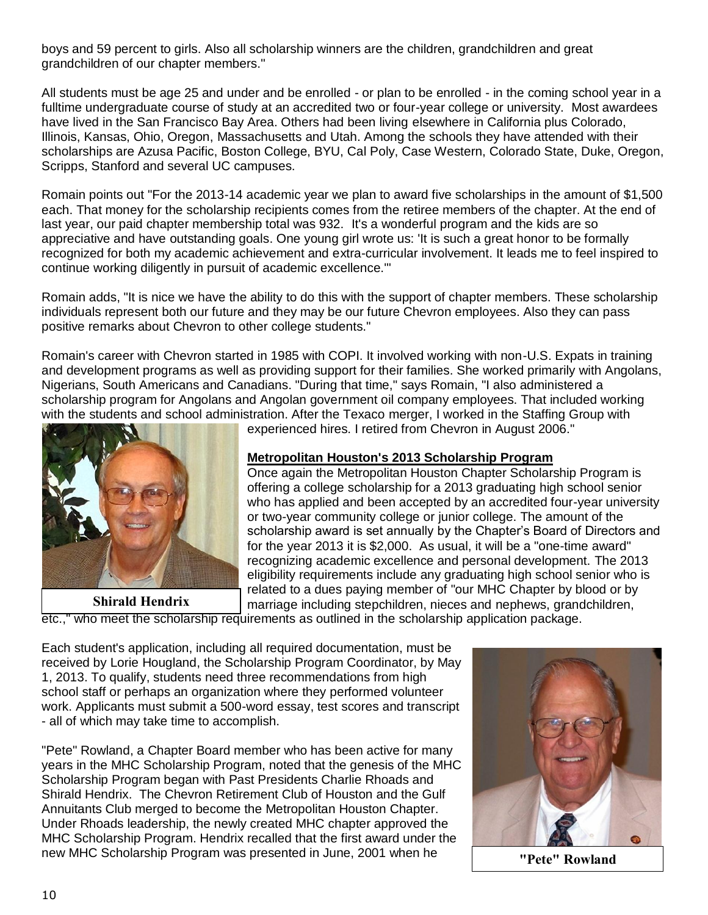boys and 59 percent to girls. Also all scholarship winners are the children, grandchildren and great grandchildren of our chapter members."

All students must be age 25 and under and be enrolled - or plan to be enrolled - in the coming school year in a fulltime undergraduate course of study at an accredited two or four-year college or university. Most awardees have lived in the San Francisco Bay Area. Others had been living elsewhere in California plus Colorado, Illinois, Kansas, Ohio, Oregon, Massachusetts and Utah. Among the schools they have attended with their scholarships are Azusa Pacific, Boston College, BYU, Cal Poly, Case Western, Colorado State, Duke, Oregon, Scripps, Stanford and several UC campuses.

Romain points out "For the 2013-14 academic year we plan to award five scholarships in the amount of \$1,500 each. That money for the scholarship recipients comes from the retiree members of the chapter. At the end of last year, our paid chapter membership total was 932. It's a wonderful program and the kids are so appreciative and have outstanding goals. One young girl wrote us: 'It is such a great honor to be formally recognized for both my academic achievement and extra-curricular involvement. It leads me to feel inspired to continue working diligently in pursuit of academic excellence.'"

Romain adds, "It is nice we have the ability to do this with the support of chapter members. These scholarship individuals represent both our future and they may be our future Chevron employees. Also they can pass positive remarks about Chevron to other college students."

Romain's career with Chevron started in 1985 with COPI. It involved working with non-U.S. Expats in training and development programs as well as providing support for their families. She worked primarily with Angolans, Nigerians, South Americans and Canadians. "During that time," says Romain, "I also administered a scholarship program for Angolans and Angolan government oil company employees. That included working with the students and school administration. After the Texaco merger, I worked in the Staffing Group with



**Shirald Hendrix**

experienced hires. I retired from Chevron in August 2006."

### **Metropolitan Houston's 2013 Scholarship Program**

Once again the Metropolitan Houston Chapter Scholarship Program is offering a college scholarship for a 2013 graduating high school senior who has applied and been accepted by an accredited four-year university or two-year community college or junior college. The amount of the scholarship award is set annually by the Chapter's Board of Directors and for the year 2013 it is \$2,000. As usual, it will be a "one-time award" recognizing academic excellence and personal development. The 2013 eligibility requirements include any graduating high school senior who is related to a dues paying member of "our MHC Chapter by blood or by marriage including stepchildren, nieces and nephews, grandchildren,

etc.," who meet the scholarship requirements as outlined in the scholarship application package.

Each student's application, including all required documentation, must be received by Lorie Hougland, the Scholarship Program Coordinator, by May 1, 2013. To qualify, students need three recommendations from high school staff or perhaps an organization where they performed volunteer work. Applicants must submit a 500-word essay, test scores and transcript - all of which may take time to accomplish.

"Pete" Rowland, a Chapter Board member who has been active for many years in the MHC Scholarship Program, noted that the genesis of the MHC Scholarship Program began with Past Presidents Charlie Rhoads and Shirald Hendrix. The Chevron Retirement Club of Houston and the Gulf Annuitants Club merged to become the Metropolitan Houston Chapter. Under Rhoads leadership, the newly created MHC chapter approved the MHC Scholarship Program. Hendrix recalled that the first award under the new MHC Scholarship Program was presented in June, 2001 when he **"Pete" Rowland**

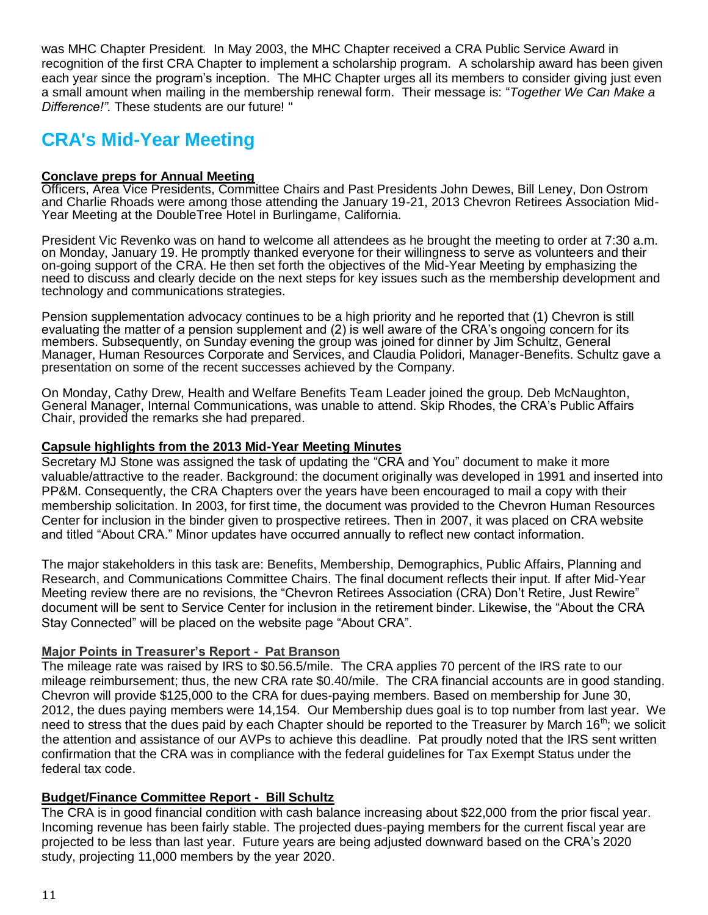was MHC Chapter President. In May 2003, the MHC Chapter received a CRA Public Service Award in recognition of the first CRA Chapter to implement a scholarship program. A scholarship award has been given each year since the program's inception. The MHC Chapter urges all its members to consider giving just even a small amount when mailing in the membership renewal form. Their message is: "*Together We Can Make a Difference!".* These students are our future! "

# **CRA's Mid-Year Meeting**

### **Conclave preps for Annual Meeting**

Officers, Area Vice Presidents, Committee Chairs and Past Presidents John Dewes, Bill Leney, Don Ostrom and Charlie Rhoads were among those attending the January 19-21, 2013 Chevron Retirees Association Mid-Year Meeting at the DoubleTree Hotel in Burlingame, California.

President Vic Revenko was on hand to welcome all attendees as he brought the meeting to order at 7:30 a.m. on Monday, January 19. He promptly thanked everyone for their willingness to serve as volunteers and their on-going support of the CRA. He then set forth the objectives of the Mid-Year Meeting by emphasizing the need to discuss and clearly decide on the next steps for key issues such as the membership development and technology and communications strategies.

Pension supplementation advocacy continues to be a high priority and he reported that (1) Chevron is still evaluating the matter of a pension supplement and (2) is well aware of the CRA's ongoing concern for its members. Subsequently, on Sunday evening the group was joined for dinner by Jim Schultz, General Manager, Human Resources Corporate and Services, and Claudia Polidori, Manager-Benefits. Schultz gave a presentation on some of the recent successes achieved by the Company.

On Monday, Cathy Drew, Health and Welfare Benefits Team Leader joined the group. Deb McNaughton, General Manager, Internal Communications, was unable to attend. Skip Rhodes, the CRA's Public Affairs Chair, provided the remarks she had prepared.

### **Capsule highlights from the 2013 Mid-Year Meeting Minutes**

Secretary MJ Stone was assigned the task of updating the "CRA and You" document to make it more valuable/attractive to the reader. Background: the document originally was developed in 1991 and inserted into PP&M. Consequently, the CRA Chapters over the years have been encouraged to mail a copy with their membership solicitation. In 2003, for first time, the document was provided to the Chevron Human Resources Center for inclusion in the binder given to prospective retirees. Then in 2007, it was placed on CRA website and titled "About CRA." Minor updates have occurred annually to reflect new contact information.

The major stakeholders in this task are: Benefits, Membership, Demographics, Public Affairs, Planning and Research, and Communications Committee Chairs. The final document reflects their input. If after Mid-Year Meeting review there are no revisions, the "Chevron Retirees Association (CRA) Don't Retire, Just Rewire" document will be sent to Service Center for inclusion in the retirement binder. Likewise, the "About the CRA Stay Connected" will be placed on the website page "About CRA".

### **Major Points in Treasurer's Report - Pat Branson**

The mileage rate was raised by IRS to \$0.56.5/mile. The CRA applies 70 percent of the IRS rate to our mileage reimbursement; thus, the new CRA rate \$0.40/mile. The CRA financial accounts are in good standing. Chevron will provide \$125,000 to the CRA for dues-paying members. Based on membership for June 30, 2012, the dues paying members were 14,154. Our Membership dues goal is to top number from last year. We need to stress that the dues paid by each Chapter should be reported to the Treasurer by March 16<sup>th</sup>; we solicit the attention and assistance of our AVPs to achieve this deadline. Pat proudly noted that the IRS sent written confirmation that the CRA was in compliance with the federal guidelines for Tax Exempt Status under the federal tax code.

### **Budget/Finance Committee Report - Bill Schultz**

The CRA is in good financial condition with cash balance increasing about \$22,000 from the prior fiscal year. Incoming revenue has been fairly stable. The projected dues-paying members for the current fiscal year are projected to be less than last year. Future years are being adjusted downward based on the CRA's 2020 study, projecting 11,000 members by the year 2020.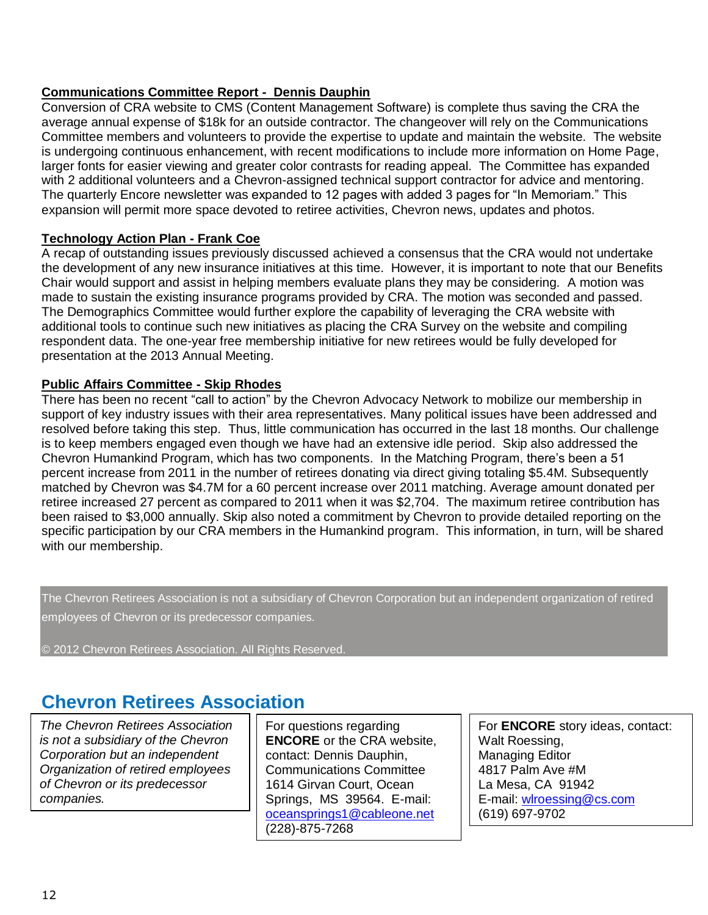## **Communications Committee Report - Dennis Dauphin**

Conversion of CRA website to CMS (Content Management Software) is complete thus saving the CRA the average annual expense of \$18k for an outside contractor. The changeover will rely on the Communications Committee members and volunteers to provide the expertise to update and maintain the website. The website is undergoing continuous enhancement, with recent modifications to include more information on Home Page, larger fonts for easier viewing and greater color contrasts for reading appeal. The Committee has expanded with 2 additional volunteers and a Chevron-assigned technical support contractor for advice and mentoring. The quarterly Encore newsletter was expanded to 12 pages with added 3 pages for "In Memoriam." This expansion will permit more space devoted to retiree activities, Chevron news, updates and photos.

### **Technology Action Plan - Frank Coe**

A recap of outstanding issues previously discussed achieved a consensus that the CRA would not undertake the development of any new insurance initiatives at this time. However, it is important to note that our Benefits Chair would support and assist in helping members evaluate plans they may be considering. A motion was made to sustain the existing insurance programs provided by CRA. The motion was seconded and passed. The Demographics Committee would further explore the capability of leveraging the CRA website with additional tools to continue such new initiatives as placing the CRA Survey on the website and compiling respondent data. The one-year free membership initiative for new retirees would be fully developed for presentation at the 2013 Annual Meeting.

### **Public Affairs Committee - Skip Rhodes**

There has been no recent "call to action" by the Chevron Advocacy Network to mobilize our membership in support of key industry issues with their area representatives. Many political issues have been addressed and resolved before taking this step. Thus, little communication has occurred in the last 18 months. Our challenge is to keep members engaged even though we have had an extensive idle period. Skip also addressed the Chevron Humankind Program, which has two components. In the Matching Program, there's been a 51 percent increase from 2011 in the number of retirees donating via direct giving totaling \$5.4M. Subsequently matched by Chevron was \$4.7M for a 60 percent increase over 2011 matching. Average amount donated per retiree increased 27 percent as compared to 2011 when it was \$2,704. The maximum retiree contribution has been raised to \$3,000 annually. Skip also noted a commitment by Chevron to provide detailed reporting on the specific participation by our CRA members in the Humankind program. This information, in turn, will be shared with our membership.

The Chevron Retirees Association is not a subsidiary of Chevron Corporation but an independent organization of retired employees of Chevron or its predecessor companies.

© 2012 Chevron Retirees Association. All Rights Reserved.

# **Chevron Retirees Association**

*The Chevron Retirees Association is not a subsidiary of the Chevron Corporation but an independent Organization of retired employees of Chevron or its predecessor companies.*

For questions regarding **ENCORE** or the CRA website, contact: Dennis Dauphin, Communications Committee 1614 Girvan Court, Ocean Springs, MS 39564. E-mail: [oceansprings1@cableone.net](mailto:oceansprings1@cableone.net) (228)-875-7268

For **ENCORE** story ideas, contact: Walt Roessing, Managing Editor 4817 Palm Ave #M La Mesa, CA 91942 E-mail: [wlroessing@cs.com](mailto:wlroessing@cs.com) (619) 697-9702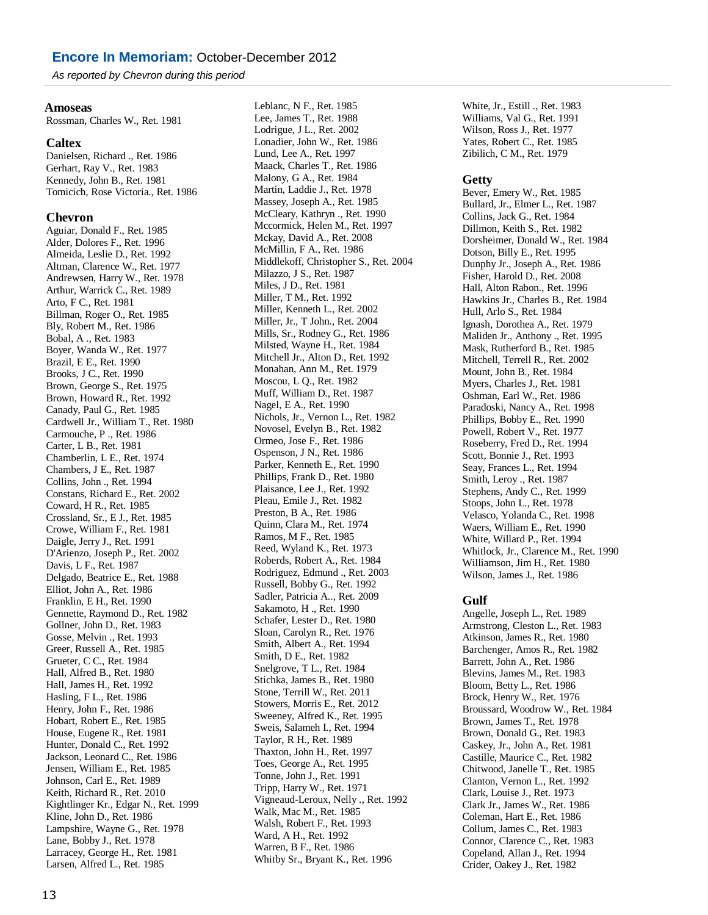*As reported by Chevron during this period*

#### **Amoseas**

Rossman, Charles W., Ret. 1981

#### **Caltex**

Danielsen, Richard ., Ret. 1986 Gerhart, Ray V., Ret. 1983 Kennedy, John B., Ret. 1981 Tomicich, Rose Victoria., Ret. 1986

#### **Chevron**

Aguiar, Donald F., Ret. 1985 Alder, Dolores F., Ret. 1996 Almeida, Leslie D., Ret. 1992 Altman, Clarence W., Ret. 1977 Andrewsen, Harry W., Ret. 1978 Arthur, Warrick C., Ret. 1989 Arto, F C., Ret. 1981 Billman, Roger O., Ret. 1985 Bly, Robert M., Ret. 1986 Bobal, A ., Ret. 1983 Boyer, Wanda W., Ret. 1977 Brazil, E E., Ret. 1990 Brooks, J C., Ret. 1990 Brown, George S., Ret. 1975 Brown, Howard R., Ret. 1992 Canady, Paul G., Ret. 1985 Cardwell Jr., William T., Ret. 1980 Carmouche, P ., Ret. 1986 Carter, L B., Ret. 1981 Chamberlin, L E., Ret. 1974 Chambers, J E., Ret. 1987 Collins, John ., Ret. 1994 Constans, Richard E., Ret. 2002 Coward, H R., Ret. 1985 Crossland, Sr., E J., Ret. 1985 Crowe, William F., Ret. 1981 Daigle, Jerry J., Ret. 1991 D'Arienzo, Joseph P., Ret. 2002 Davis, L F., Ret. 1987 Delgado, Beatrice E., Ret. 1988 Elliot, John A., Ret. 1986 Franklin, E H., Ret. 1990 Gennette, Raymond D., Ret. 1982 Gollner, John D., Ret. 1983 Gosse, Melvin ., Ret. 1993 Greer, Russell A., Ret. 1985 Grueter, C C., Ret. 1984 Hall, Alfred B., Ret. 1980 Hall, James H., Ret. 1992 Hasling, F L., Ret. 1986 Henry, John F., Ret. 1986 Hobart, Robert E., Ret. 1985 House, Eugene R., Ret. 1981 Hunter, Donald C., Ret. 1992 Jackson, Leonard C., Ret. 1986 Jensen, William E., Ret. 1985 Johnson, Carl E., Ret. 1989 Keith, Richard R., Ret. 2010 Kightlinger Kr., Edgar N., Ret. 1999 Kline, John D., Ret. 1986 Lampshire, Wayne G., Ret. 1978 Lane, Bobby J., Ret. 1978 Larracey, George H., Ret. 1981 Larsen, Alfred L., Ret. 1985

Leblanc, N F., Ret. 1985 Lee, James T., Ret. 1988 Lodrigue, J L., Ret. 2002 Lonadier, John W., Ret. 1986 Lund, Lee A., Ret. 1997 Maack, Charles T., Ret. 1986 Malony, G A., Ret. 1984 Martin, Laddie J., Ret. 1978 Massey, Joseph A., Ret. 1985 McCleary, Kathryn ., Ret. 1990 Mccormick, Helen M., Ret. 1997 Mckay, David A., Ret. 2008 McMillin, F A., Ret. 1986 Middlekoff, Christopher S., Ret. 2004 Milazzo, J S., Ret. 1987 Miles, J D., Ret. 1981 Miller, T M., Ret. 1992 Miller, Kenneth L., Ret. 2002 Miller, Jr., T John., Ret. 2004 Mills, Sr., Rodney G., Ret. 1986 Milsted, Wayne H., Ret. 1984 Mitchell Jr., Alton D., Ret. 1992 Monahan, Ann M., Ret. 1979 Moscou, L Q., Ret. 1982 Muff, William D., Ret. 1987 Nagel, E A., Ret. 1990 Nichols, Jr., Vernon L., Ret. 1982 Novosel, Evelyn B., Ret. 1982 Ormeo, Jose F., Ret. 1986 Ospenson, J N., Ret. 1986 Parker, Kenneth E., Ret. 1990 Phillips, Frank D., Ret. 1980 Plaisance, Lee J., Ret. 1992 Pleau, Emile J., Ret. 1982 Preston, B A., Ret. 1986 Quinn, Clara M., Ret. 1974 Ramos, M F., Ret. 1985 Reed, Wyland K., Ret. 1973 Roberds, Robert A., Ret. 1984 Rodriguez, Edmund ., Ret. 2003 Russell, Bobby G., Ret. 1992 Sadler, Patricia A.., Ret. 2009 Sakamoto, H ., Ret. 1990 Schafer, Lester D., Ret. 1980 Sloan, Carolyn R., Ret. 1976 Smith, Albert A., Ret. 1994 Smith, D E., Ret. 1982 Snelgrove, T L., Ret. 1984 Stichka, James B., Ret. 1980 Stone, Terrill W., Ret. 2011 Stowers, Morris E., Ret. 2012 Sweeney, Alfred K., Ret. 1995 Sweis, Salameh I., Ret. 1994 Taylor, R H., Ret. 1989 Thaxton, John H., Ret. 1997 Toes, George A., Ret. 1995 Tonne, John J., Ret. 1991 Tripp, Harry W., Ret. 1971 Vigneaud-Leroux, Nelly ., Ret. 1992 Walk, Mac M., Ret. 1985 Walsh, Robert F., Ret. 1993 Ward, A H., Ret. 1992 Warren, B F., Ret. 1986 Whitby Sr., Bryant K., Ret. 1996

White, Jr., Estill ., Ret. 1983 Williams, Val G., Ret. 1991 Wilson, Ross J., Ret. 1977 Yates, Robert C., Ret. 1985 Zibilich, C M., Ret. 1979

#### **Getty**

Bever, Emery W., Ret. 1985 Bullard, Jr., Elmer L., Ret. 1987 Collins, Jack G., Ret. 1984 Dillmon, Keith S., Ret. 1982 Dorsheimer, Donald W., Ret. 1984 Dotson, Billy E., Ret. 1995 Dunphy Jr., Joseph A., Ret. 1986 Fisher, Harold D., Ret. 2008 Hall, Alton Rabon., Ret. 1996 Hawkins Jr., Charles B., Ret. 1984 Hull, Arlo S., Ret. 1984 Ignash, Dorothea A., Ret. 1979 Maliden Jr., Anthony ., Ret. 1995 Mask, Rutherford B., Ret. 1985 Mitchell, Terrell R., Ret. 2002 Mount, John B., Ret. 1984 Myers, Charles J., Ret. 1981 Oshman, Earl W., Ret. 1986 Paradoski, Nancy A., Ret. 1998 Phillips, Bobby E., Ret. 1990 Powell, Robert V., Ret. 1977 Roseberry, Fred D., Ret. 1994 Scott, Bonnie J., Ret. 1993 Seay, Frances L., Ret. 1994 Smith, Leroy ., Ret. 1987 Stephens, Andy C., Ret. 1999 Stoops, John L., Ret. 1978 Velasco, Yolanda C., Ret. 1998 Waers, William E., Ret. 1990 White, Willard P., Ret. 1994 Whitlock, Jr., Clarence M., Ret. 1990 Williamson, Jim H., Ret. 1980 Wilson, James J., Ret. 1986

#### **Gulf**

Angelle, Joseph L., Ret. 1989 Armstrong, Cleston L., Ret. 1983 Atkinson, James R., Ret. 1980 Barchenger, Amos R., Ret. 1982 Barrett, John A., Ret. 1986 Blevins, James M., Ret. 1983 Bloom, Betty L., Ret. 1986 Brock, Henry W., Ret. 1976 Broussard, Woodrow W., Ret. 1984 Brown, James T., Ret. 1978 Brown, Donald G., Ret. 1983 Caskey, Jr., John A., Ret. 1981 Castille, Maurice C., Ret. 1982 Chitwood, Janelle T., Ret. 1985 Clanton, Vernon L., Ret. 1992 Clark, Louise J., Ret. 1973 Clark Jr., James W., Ret. 1986 Coleman, Hart E., Ret. 1986 Collum, James C., Ret. 1983 Connor, Clarence C., Ret. 1983 Copeland, Allan J., Ret. 1994 Crider, Oakey J., Ret. 1982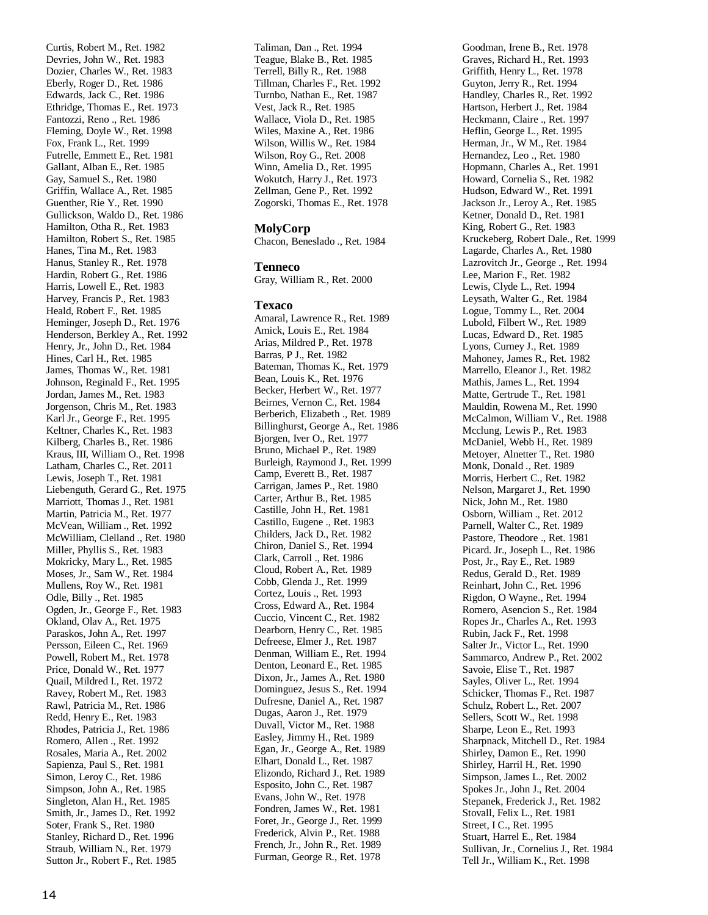Curtis, Robert M., Ret. 1982 Devries, John W., Ret. 1983 Dozier, Charles W., Ret. 1983 Eberly, Roger D., Ret. 1986 Edwards, Jack C., Ret. 1986 Ethridge, Thomas E., Ret. 1973 Fantozzi, Reno ., Ret. 1986 Fleming, Doyle W., Ret. 1998 Fox, Frank L., Ret. 1999 Futrelle, Emmett E., Ret. 1981 Gallant, Alban E., Ret. 1985 Gay, Samuel S., Ret. 1980 Griffin, Wallace A., Ret. 1985 Guenther, Rie Y., Ret. 1990 Gullickson, Waldo D., Ret. 1986 Hamilton, Otha R., Ret. 1983 Hamilton, Robert S., Ret. 1985 Hanes, Tina M., Ret. 1983 Hanus, Stanley R., Ret. 1978 Hardin, Robert G., Ret. 1986 Harris, Lowell E., Ret. 1983 Harvey, Francis P., Ret. 1983 Heald, Robert F., Ret. 1985 Heminger, Joseph D., Ret. 1976 Henderson, Berkley A., Ret. 1992 Henry, Jr., John D., Ret. 1984 Hines, Carl H., Ret. 1985 James, Thomas W., Ret. 1981 Johnson, Reginald F., Ret. 1995 Jordan, James M., Ret. 1983 Jorgenson, Chris M., Ret. 1983 Karl Jr., George F., Ret. 1995 Keltner, Charles K., Ret. 1983 Kilberg, Charles B., Ret. 1986 Kraus, III, William O., Ret. 1998 Latham, Charles C., Ret. 2011 Lewis, Joseph T., Ret. 1981 Liebenguth, Gerard G., Ret. 1975 Marriott, Thomas J., Ret. 1981 Martin, Patricia M., Ret. 1977 Mc Vean, William ., Ret. 1992 McWilliam, Clelland ., Ret. 1980 Miller, Phyllis S., Ret. 1983 Mokricky, Mary L., Ret. 1985 Moses, Jr., Sam W., Ret. 1984 Mullens, Roy W., Ret. 1981 Odle, Billy ., Ret. 1985 Ogden, Jr., George F., Ret. 1983 Okland, Olav A., Ret. 1975 Paraskos, John A., Ret. 1997 Persson, Eileen C., Ret. 1969 Powell, Robert M., Ret. 1978 Price, Donald W., Ret. 1977 Quail, Mildred I., Ret. 1972 Ravey, Robert M., Ret. 1983 Rawl, Patricia M., Ret. 1986 Redd, Henry E., Ret. 1983 Rhodes, Patricia J., Ret. 1986 Romero, Allen ., Ret. 1992 Rosales, Maria A., Ret. 2002 Sapienza, Paul S., Ret. 1981 Simon, Leroy C., Ret. 1986 Simpson, John A., Ret. 1985 Singleton, Alan H., Ret. 1985 Smith, Jr., James D., Ret. 1992 Soter, Frank S., Ret. 1980 Stanley, Richard D., Ret. 1996 Straub, William N., Ret. 1979 Sutton Jr., Robert F., Ret. 1985

Taliman, Dan ., Ret. 1994 Teague, Blake B., Ret. 1985 Terrell, Billy R., Ret. 1988 Tillman, Charles F., Ret. 1992 Turnbo, Nathan E., Ret. 1987 Vest, Jack R., Ret. 1985 Wallace, Viola D., Ret. 1985 Wiles, Maxine A., Ret. 1986 Wilson, Willis W., Ret. 1984 Wilson, Roy G., Ret. 2008 Winn, Amelia D., Ret. 1995 Wokutch, Harry J., Ret. 1973 Zellman, Gene P., Ret. 1992 Zogorski, Thomas E., Ret. 1978

#### **MolyCorp**

Chacon, Beneslado ., Ret. 1984

#### **Tenneco**

Gray, William R., Ret. 2000

#### **Texaco**

Amaral, Lawrence R., Ret. 1989 Amick, Louis E., Ret. 1984 Arias, Mildred P., Ret. 1978 Barras, P J., Ret. 1982 Bateman, Thomas K., Ret. 1979 Bean, Louis K., Ret. 1976 Becker, Herbert W., Ret. 1977 Beirnes, Vernon C., Ret. 1984 Berberich, Elizabeth ., Ret. 1989 Billinghurst, George A., Ret. 1986 Bjorgen, Iver O., Ret. 1977 Bruno, Michael P., Ret. 1989 Burleigh, Raymond J., Ret. 1999 Camp, Everett B., Ret. 1987 Carrigan, James P., Ret. 1980 Carter, Arthur B., Ret. 1985 Castille, John H., Ret. 1981 Castillo, Eugene ., Ret. 1983 Childers, Jack D., Ret. 1982 Chiron, Daniel S., Ret. 1994 Clark, Carroll ., Ret. 1986 Cloud, Robert A., Ret. 1989 Cobb, Glenda J., Ret. 1999 Cortez, Louis ., Ret. 1993 Cross, Edward A., Ret. 1984 Cuccio, Vincent C., Ret. 1982 Dearborn, Henry C., Ret. 1985 Defreese, Elmer J., Ret. 1987 Denman, William E., Ret. 1994 Denton, Leonard E., Ret. 1985 Dixon, Jr., James A., Ret. 1980 Dominguez, Jesus S., Ret. 1994 Dufresne, Daniel A., Ret. 1987 Dugas, Aaron J., Ret. 1979 Duvall, Victor M., Ret. 1988 Easley, Jimmy H., Ret. 1989 Egan, Jr., George A., Ret. 1989 Elhart, Donald L., Ret. 1987 Elizondo, Richard J., Ret. 1989 Esposito, John C., Ret. 1987 Evans, John W., Ret. 1978 Fondren, James W., Ret. 1981 Foret, Jr., George J., Ret. 1999 Frederick, Alvin P., Ret. 1988 French, Jr., John R., Ret. 1989 Furman, George R., Ret. 1978

Goodman, Irene B., Ret. 1978 Graves, Richard H., Ret. 1993 Griffith, Henry L., Ret. 1978 Guyton, Jerry R., Ret. 1994 Handley, Charles R., Ret. 1992 Hartson, Herbert J., Ret. 1984 Heckmann, Claire ., Ret. 1997 Heflin, George L., Ret. 1995 Herman, Jr., W M., Ret. 1984 Hernandez, Leo ., Ret. 1980 Hopmann, Charles A., Ret. 1991 Howard, Cornelia S., Ret. 1982 Hudson, Edward W., Ret. 1991 Jackson Jr., Leroy A., Ret. 1985 Ketner, Donald D., Ret. 1981 King, Robert G., Ret. 1983 Kruckeberg, Robert Dale., Ret. 1999 Lagarde, Charles A., Ret. 1980 Lazrovitch Jr., George ., Ret. 1994 Lee, Marion F., Ret. 1982 Lewis, Clyde L., Ret. 1994 Leysath, Walter G., Ret. 1984 Logue, Tommy L., Ret. 2004 Lubold, Filbert W., Ret. 1989 Lucas, Edward D., Ret. 1985 Lyons, Curney J., Ret. 1989 Mahoney, James R., Ret. 1982 Marrello, Eleanor J., Ret. 1982 Mathis, James L., Ret. 1994 Matte, Gertrude T., Ret. 1981 Mauldin, Rowena M., Ret. 1990 McCalmon, William V., Ret. 1988 Mcclung, Lewis P., Ret. 1983 McDaniel, Webb H., Ret. 1989 Metoyer, Alnetter T., Ret. 1980 Monk, Donald ., Ret. 1989 Morris, Herbert C., Ret. 1982 Nelson, Margaret J., Ret. 1990 Nick, John M., Ret. 1980 Osborn, William ., Ret. 2012 Parnell, Walter C., Ret. 1989 Pastore, Theodore ., Ret. 1981 Picard. Jr., Joseph L., Ret. 1986 Post, Jr., Ray E., Ret. 1989 Redus, Gerald D., Ret. 1989 Reinhart, John C., Ret. 1996 Rigdon, O Wayne., Ret. 1994 Romero, Asencion S., Ret. 1984 Ropes Jr., Charles A., Ret. 1993 Rubin, Jack F., Ret. 1998 Salter Jr., Victor L., Ret. 1990 Sammarco, Andrew P., Ret. 2002 Savoie, Elise T., Ret. 1987 Sayles, Oliver L., Ret. 1994 Schicker, Thomas F., Ret. 1987 Schulz, Robert L., Ret. 2007 Sellers, Scott W., Ret. 1998 Sharpe, Leon E., Ret. 1993 Sharpnack, Mitchell D., Ret. 1984 Shirley, Damon E., Ret. 1990 Shirley, Harril H., Ret. 1990 Simpson, James L., Ret. 2002 Spokes Jr., John J., Ret. 2004 Stepanek, Frederick J., Ret. 1982 Stovall, Felix L., Ret. 1981 Street, I C., Ret. 1995 Stuart, Harrel E., Ret. 1984 Sullivan, Jr., Cornelius J., Ret. 1984 Tell Jr., William K., Ret. 1998